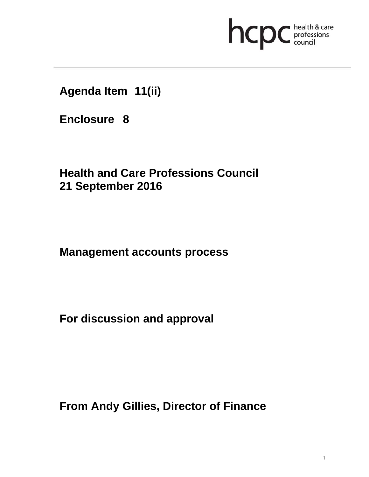

**Agenda Item 11(ii)** 

**Enclosure 8**

**Health and Care Professions Council 21 September 2016**

**Management accounts process** 

**For discussion and approval** 

**From Andy Gillies, Director of Finance**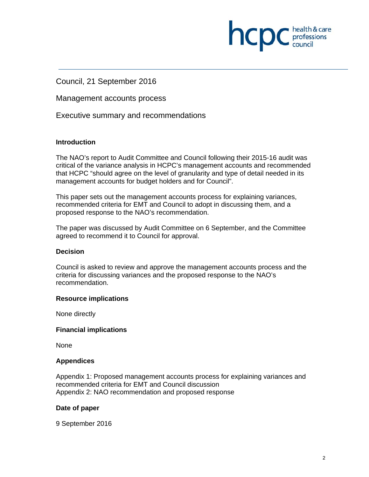

Council, 21 September 2016

Management accounts process

Executive summary and recommendations

# **Introduction**

The NAO's report to Audit Committee and Council following their 2015-16 audit was critical of the variance analysis in HCPC's management accounts and recommended that HCPC "should agree on the level of granularity and type of detail needed in its management accounts for budget holders and for Council".

This paper sets out the management accounts process for explaining variances, recommended criteria for EMT and Council to adopt in discussing them, and a proposed response to the NAO's recommendation.

The paper was discussed by Audit Committee on 6 September, and the Committee agreed to recommend it to Council for approval.

## **Decision**

Council is asked to review and approve the management accounts process and the criteria for discussing variances and the proposed response to the NAO's recommendation.

## **Resource implications**

None directly

## **Financial implications**

None

## **Appendices**

Appendix 1: Proposed management accounts process for explaining variances and recommended criteria for EMT and Council discussion Appendix 2: NAO recommendation and proposed response

## **Date of paper**

9 September 2016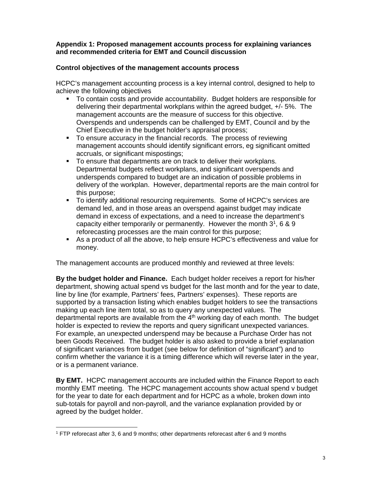### **Appendix 1: Proposed management accounts process for explaining variances and recommended criteria for EMT and Council discussion**

# **Control objectives of the management accounts process**

HCPC's management accounting process is a key internal control, designed to help to achieve the following objectives

- To contain costs and provide accountability. Budget holders are responsible for delivering their departmental workplans within the agreed budget, +/- 5%. The management accounts are the measure of success for this objective. Overspends and underspends can be challenged by EMT, Council and by the Chief Executive in the budget holder's appraisal process;
- To ensure accuracy in the financial records. The process of reviewing management accounts should identify significant errors, eg significant omitted accruals, or significant mispostings;
- To ensure that departments are on track to deliver their workplans. Departmental budgets reflect workplans, and significant overspends and underspends compared to budget are an indication of possible problems in delivery of the workplan. However, departmental reports are the main control for this purpose;
- To identify additional resourcing requirements. Some of HCPC's services are demand led, and in those areas an overspend against budget may indicate demand in excess of expectations, and a need to increase the department's capacity either temporarily or permanently. However the month  $3^1$ , 6 & 9 reforecasting processes are the main control for this purpose;
- As a product of all the above, to help ensure HCPC's effectiveness and value for money.

The management accounts are produced monthly and reviewed at three levels:

**By the budget holder and Finance.** Each budget holder receives a report for his/her department, showing actual spend vs budget for the last month and for the year to date, line by line (for example, Partners' fees, Partners' expenses). These reports are supported by a transaction listing which enables budget holders to see the transactions making up each line item total, so as to query any unexpected values. The departmental reports are available from the  $4<sup>th</sup>$  working day of each month. The budget holder is expected to review the reports and query significant unexpected variances. For example, an unexpected underspend may be because a Purchase Order has not been Goods Received. The budget holder is also asked to provide a brief explanation of significant variances from budget (see below for definition of "significant") and to confirm whether the variance it is a timing difference which will reverse later in the year, or is a permanent variance.

**By EMT.** HCPC management accounts are included within the Finance Report to each monthly EMT meeting. The HCPC management accounts show actual spend v budget for the year to date for each department and for HCPC as a whole, broken down into sub-totals for payroll and non-payroll, and the variance explanation provided by or agreed by the budget holder.

 

<sup>1</sup> FTP reforecast after 3, 6 and 9 months; other departments reforecast after 6 and 9 months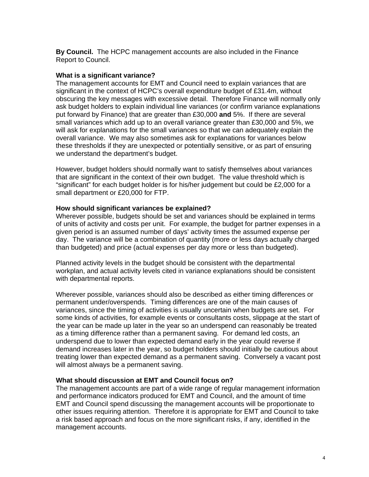**By Council.** The HCPC management accounts are also included in the Finance Report to Council.

### **What is a significant variance?**

The management accounts for EMT and Council need to explain variances that are significant in the context of HCPC's overall expenditure budget of £31.4m, without obscuring the key messages with excessive detail. Therefore Finance will normally only ask budget holders to explain individual line variances (or confirm variance explanations put forward by Finance) that are greater than £30,000 **and** 5%. If there are several small variances which add up to an overall variance greater than £30,000 and 5%, we will ask for explanations for the small variances so that we can adequately explain the overall variance. We may also sometimes ask for explanations for variances below these thresholds if they are unexpected or potentially sensitive, or as part of ensuring we understand the department's budget.

However, budget holders should normally want to satisfy themselves about variances that are significant in the context of their own budget. The value threshold which is "significant" for each budget holder is for his/her judgement but could be £2,000 for a small department or £20,000 for FTP.

### **How should significant variances be explained?**

Wherever possible, budgets should be set and variances should be explained in terms of units of activity and costs per unit. For example, the budget for partner expenses in a given period is an assumed number of days' activity times the assumed expense per day. The variance will be a combination of quantity (more or less days actually charged than budgeted) and price (actual expenses per day more or less than budgeted).

Planned activity levels in the budget should be consistent with the departmental workplan, and actual activity levels cited in variance explanations should be consistent with departmental reports.

Wherever possible, variances should also be described as either timing differences or permanent under/overspends. Timing differences are one of the main causes of variances, since the timing of activities is usually uncertain when budgets are set. For some kinds of activities, for example events or consultants costs, slippage at the start of the year can be made up later in the year so an underspend can reasonably be treated as a timing difference rather than a permanent saving. For demand led costs, an underspend due to lower than expected demand early in the year could reverse if demand increases later in the year, so budget holders should initially be cautious about treating lower than expected demand as a permanent saving. Conversely a vacant post will almost always be a permanent saving.

## **What should discussion at EMT and Council focus on?**

The management accounts are part of a wide range of regular management information and performance indicators produced for EMT and Council, and the amount of time EMT and Council spend discussing the management accounts will be proportionate to other issues requiring attention. Therefore it is appropriate for EMT and Council to take a risk based approach and focus on the more significant risks, if any, identified in the management accounts.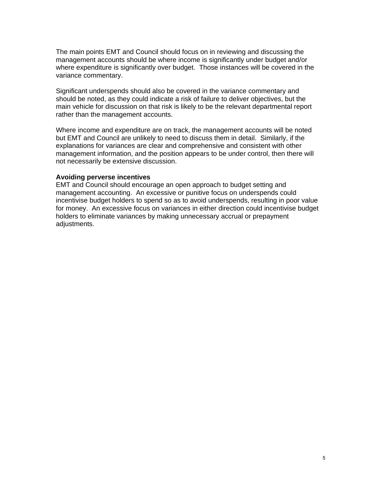The main points EMT and Council should focus on in reviewing and discussing the management accounts should be where income is significantly under budget and/or where expenditure is significantly over budget. Those instances will be covered in the variance commentary.

Significant underspends should also be covered in the variance commentary and should be noted, as they could indicate a risk of failure to deliver objectives, but the main vehicle for discussion on that risk is likely to be the relevant departmental report rather than the management accounts.

Where income and expenditure are on track, the management accounts will be noted but EMT and Council are unlikely to need to discuss them in detail. Similarly, if the explanations for variances are clear and comprehensive and consistent with other management information, and the position appears to be under control, then there will not necessarily be extensive discussion.

### **Avoiding perverse incentives**

EMT and Council should encourage an open approach to budget setting and management accounting. An excessive or punitive focus on underspends could incentivise budget holders to spend so as to avoid underspends, resulting in poor value for money. An excessive focus on variances in either direction could incentivise budget holders to eliminate variances by making unnecessary accrual or prepayment adjustments.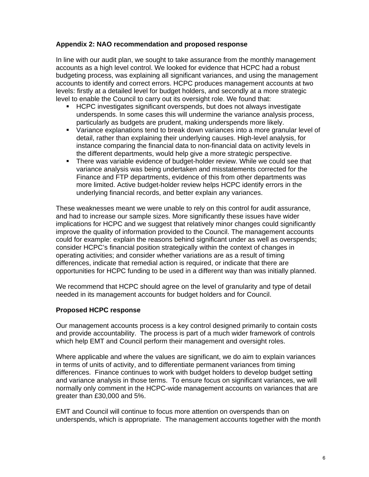# **Appendix 2: NAO recommendation and proposed response**

In line with our audit plan, we sought to take assurance from the monthly management accounts as a high level control. We looked for evidence that HCPC had a robust budgeting process, was explaining all significant variances, and using the management accounts to identify and correct errors. HCPC produces management accounts at two levels: firstly at a detailed level for budget holders, and secondly at a more strategic level to enable the Council to carry out its oversight role. We found that:

- HCPC investigates significant overspends, but does not always investigate underspends. In some cases this will undermine the variance analysis process, particularly as budgets are prudent, making underspends more likely.
- Variance explanations tend to break down variances into a more granular level of detail, rather than explaining their underlying causes. High-level analysis, for instance comparing the financial data to non-financial data on activity levels in the different departments, would help give a more strategic perspective.
- There was variable evidence of budget-holder review. While we could see that variance analysis was being undertaken and misstatements corrected for the Finance and FTP departments, evidence of this from other departments was more limited. Active budget-holder review helps HCPC identify errors in the underlying financial records, and better explain any variances.

These weaknesses meant we were unable to rely on this control for audit assurance, and had to increase our sample sizes. More significantly these issues have wider implications for HCPC and we suggest that relatively minor changes could significantly improve the quality of information provided to the Council. The management accounts could for example: explain the reasons behind significant under as well as overspends; consider HCPC's financial position strategically within the context of changes in operating activities; and consider whether variations are as a result of timing differences, indicate that remedial action is required, or indicate that there are opportunities for HCPC funding to be used in a different way than was initially planned.

We recommend that HCPC should agree on the level of granularity and type of detail needed in its management accounts for budget holders and for Council.

## **Proposed HCPC response**

Our management accounts process is a key control designed primarily to contain costs and provide accountability. The process is part of a much wider framework of controls which help EMT and Council perform their management and oversight roles.

Where applicable and where the values are significant, we do aim to explain variances in terms of units of activity, and to differentiate permanent variances from timing differences. Finance continues to work with budget holders to develop budget setting and variance analysis in those terms. To ensure focus on significant variances, we will normally only comment in the HCPC-wide management accounts on variances that are greater than £30,000 and 5%.

EMT and Council will continue to focus more attention on overspends than on underspends, which is appropriate. The management accounts together with the month